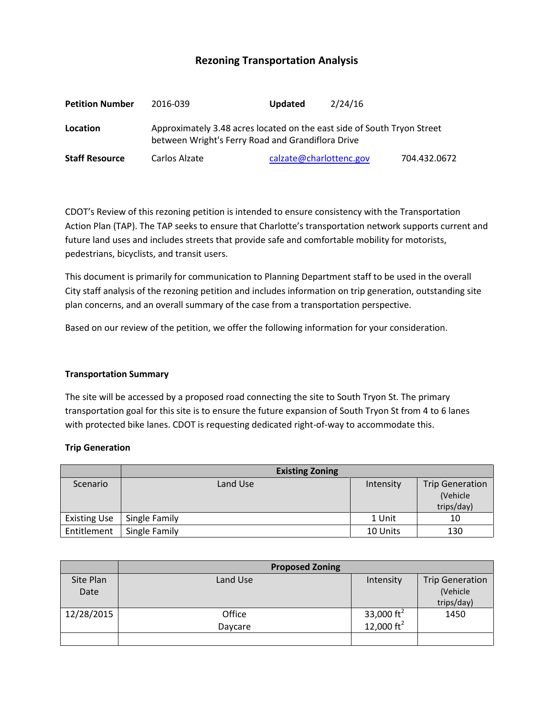# **Rezoning Transportation Analysis**

| <b>Petition Number</b> | 2016-039                                                                                                                     | <b>Updated</b> | 2/24/16                 |              |  |  |  |
|------------------------|------------------------------------------------------------------------------------------------------------------------------|----------------|-------------------------|--------------|--|--|--|
| Location               | Approximately 3.48 acres located on the east side of South Tryon Street<br>between Wright's Ferry Road and Grandiflora Drive |                |                         |              |  |  |  |
| <b>Staff Resource</b>  | Carlos Alzate                                                                                                                |                | calzate@charlottenc.gov | 704.432.0672 |  |  |  |

CDOT's Review of this rezoning petition is intended to ensure consistency with the Transportation Action Plan (TAP). The TAP seeks to ensure that Charlotte's transportation network supports current and future land uses and includes streets that provide safe and comfortable mobility for motorists, pedestrians, bicyclists, and transit users.

This document is primarily for communication to Planning Department staff to be used in the overall City staff analysis of the rezoning petition and includes information on trip generation, outstanding site plan concerns, and an overall summary of the case from a transportation perspective.

Based on our review of the petition, we offer the following information for your consideration.

### **Transportation Summary**

The site will be accessed by a proposed road connecting the site to South Tryon St. The primary transportation goal for this site is to ensure the future expansion of South Tryon St from 4 to 6 lanes with protected bike lanes. CDOT is requesting dedicated right-of-way to accommodate this.

### **Trip Generation**

|                     | <b>Existing Zoning</b> |           |                        |
|---------------------|------------------------|-----------|------------------------|
| Scenario            | Land Use               | Intensity | <b>Trip Generation</b> |
|                     |                        |           | (Vehicle               |
|                     |                        |           | trips/day)             |
| <b>Existing Use</b> | Single Family          | 1 Unit    | 10                     |
| Entitlement         | Single Family          | 10 Units  | 130                    |

|            | <b>Proposed Zoning</b> |                       |                        |  |
|------------|------------------------|-----------------------|------------------------|--|
| Site Plan  | Land Use               | Intensity             | <b>Trip Generation</b> |  |
| Date       |                        |                       | (Vehicle               |  |
|            |                        |                       | trips/day)             |  |
| 12/28/2015 | Office                 | 33,000 $\text{ft}^2$  | 1450                   |  |
|            | Daycare                | $12,000 \text{ ft}^2$ |                        |  |
|            |                        |                       |                        |  |